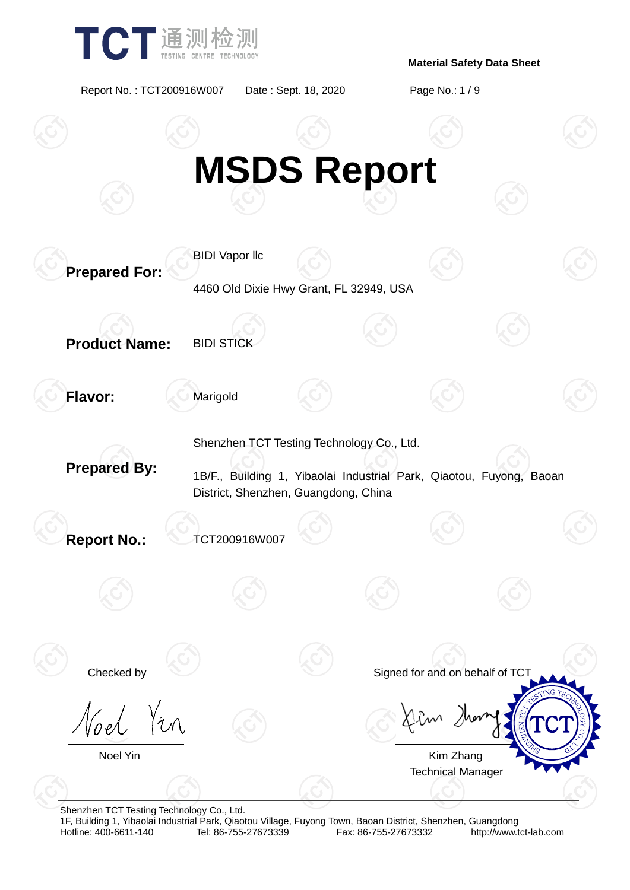

Report No. : TCT200916W007 Date : Sept. 18, 2020 Page No.: 1 / 9



Shenzhen TCT Testing Technology Co., Ltd.

1F, Building 1, Yibaolai Industrial Park, Qiaotou Village, Fuyong Town, Baoan District, Shenzhen, Guangdong Fax: 86-755-27673332 http://www.tct-lab.com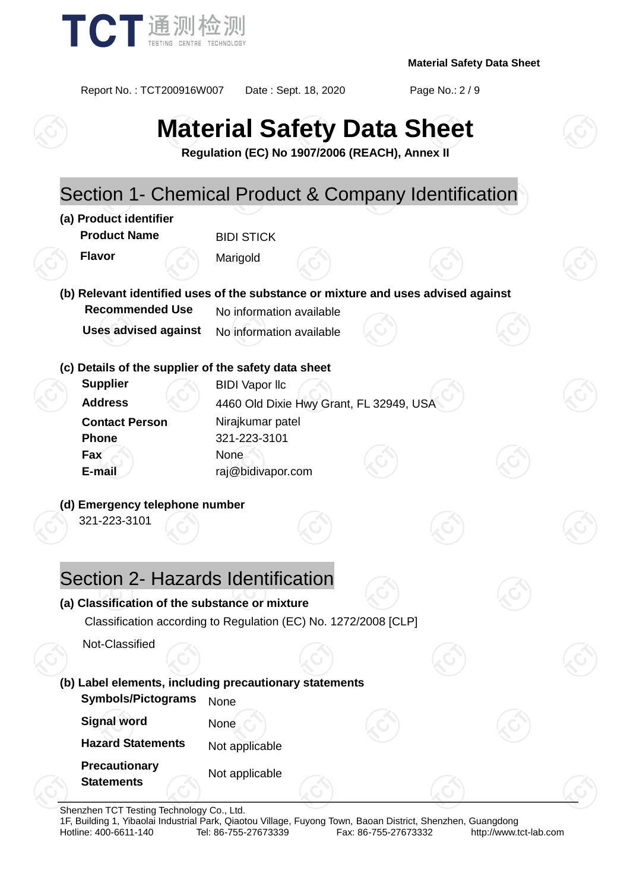

Report No. : TCT200916W007 Date : Sept. 18, 2020 Page No.: 2 / 9

# **Material Safety Data Sheet**

**Regulation (EC) No 1907/2006 (REACH), Annex II**



Shenzhen TCT Testing Technology Co., Ltd.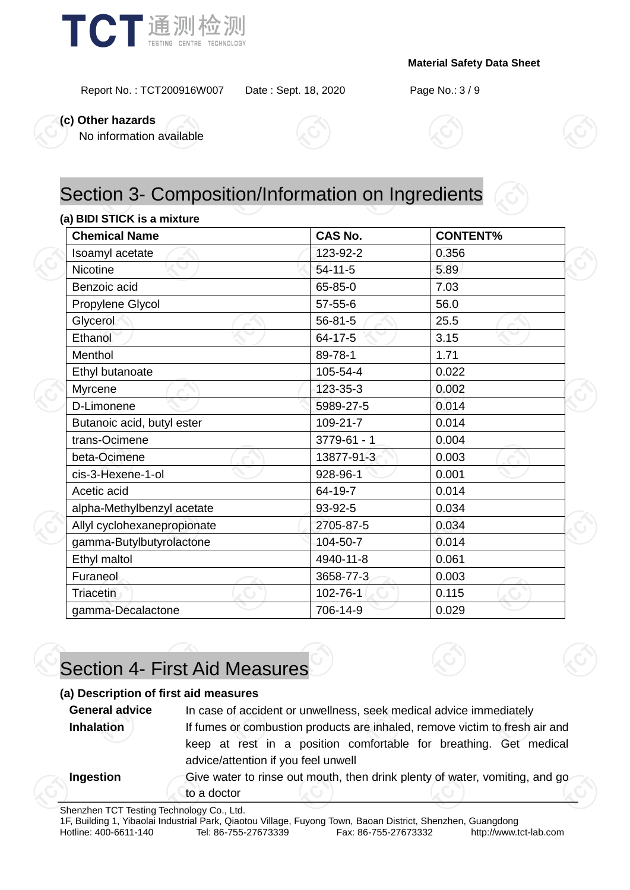

Report No. : TCT200916W007 Date : Sept. 18, 2020 Page No.: 3 / 9

**(c) Other hazards**

No information available





# Section 3- Composition/Information on Ingredients

### **(a) BIDI STICK is a mixture**

| <b>Chemical Name</b>        | <b>CAS No.</b>  | <b>CONTENT%</b> |  |  |
|-----------------------------|-----------------|-----------------|--|--|
| Isoamyl acetate             | 123-92-2        | 0.356           |  |  |
| <b>Nicotine</b>             | 54-11-5         | 5.89            |  |  |
| Benzoic acid                | 65-85-0         | 7.03            |  |  |
| Propylene Glycol            | $57 - 55 - 6$   | 56.0            |  |  |
| Glycerol                    | $56 - 81 - 5$   | 25.5            |  |  |
| Ethanol                     | 64-17-5         | 3.15            |  |  |
| Menthol                     | 89-78-1         | 1.71            |  |  |
| Ethyl butanoate             | 105-54-4        | 0.022           |  |  |
| Myrcene                     | 123-35-3        | 0.002           |  |  |
| D-Limonene                  | 5989-27-5       | 0.014           |  |  |
| Butanoic acid, butyl ester  | 109-21-7        | 0.014           |  |  |
| trans-Ocimene               | $3779 - 61 - 1$ | 0.004           |  |  |
| beta-Ocimene                | 13877-91-3      | 0.003           |  |  |
| cis-3-Hexene-1-ol           | 928-96-1        | 0.001           |  |  |
| Acetic acid                 | 64-19-7         | 0.014           |  |  |
| alpha-Methylbenzyl acetate  | 93-92-5         | 0.034           |  |  |
| Allyl cyclohexanepropionate | 2705-87-5       | 0.034           |  |  |
| gamma-Butylbutyrolactone    | 104-50-7        | 0.014           |  |  |
| Ethyl maltol                | 4940-11-8       | 0.061           |  |  |
| Furaneol                    | 3658-77-3       | 0.003           |  |  |
| Triacetin                   | 102-76-1        | 0.115           |  |  |
| gamma-Decalactone           | 706-14-9        | 0.029           |  |  |

# Section 4- First Aid Measures

#### **(a) Description of first aid measures**

**General advice** In case of accident or unwellness, seek medical advice immediately **Inhalation** If fumes or combustion products are inhaled, remove victim to fresh air and keep at rest in a position comfortable for breathing. Get medical advice/attention if you feel unwell

**Ingestion** Give water to rinse out mouth, then drink plenty of water, vomiting, and go to a doctor

Shenzhen TCT Testing Technology Co., Ltd.

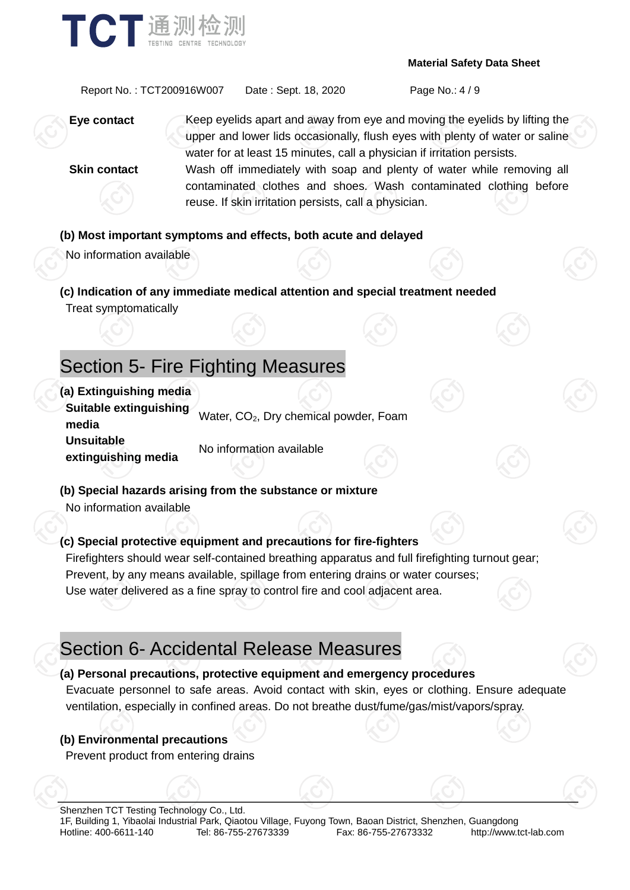

Report No. : TCT200916W007 Date : Sept. 18, 2020 Page No.: 4 / 9

**Eye contact** Keep eyelids apart and away from eye and moving the eyelids by lifting the upper and lower lids occasionally, flush eyes with plenty of water or saline water for at least 15 minutes, call a physician if irritation persists. **Skin contact** Wash off immediately with soap and plenty of water while removing all contaminated clothes and shoes. Wash contaminated clothing before reuse. If skin irritation persists, call a physician.

### **(b) Most important symptoms and effects, both acute and delayed**

No information available

**(c) Indication of any immediate medical attention and special treatment needed** Treat symptomatically

### Section 5- Fire Fighting Measures

**(a) Extinguishing media Suitable extinguishing media** water, CO<sub>2</sub>, Dry chemical powder, Foam **Unsuitable extinguishing media** No information available

**(b) Special hazards arising from the substance or mixture** No information available

### **(c) Special protective equipment and precautions for fire-fighters**

Firefighters should wear self-contained breathing apparatus and full firefighting turnout gear; Prevent, by any means available, spillage from entering drains or water courses; Use water delivered as a fine spray to control fire and cool adjacent area.

### Section 6- Accidental Release Measures

### **(a) Personal precautions, protective equipment and emergency procedures**

Evacuate personnel to safe areas. Avoid contact with skin, eyes or clothing. Ensure adequate ventilation, especially in confined areas. Do not breathe dust/fume/gas/mist/vapors/spray.

### **(b) Environmental precautions**

Prevent product from entering drains

Shenzhen TCT Testing Technology Co., Ltd. 1F, Building 1, Yibaolai Industrial Park, Qiaotou Village, Fuyong Town, Baoan District, Shenzhen, Guangdong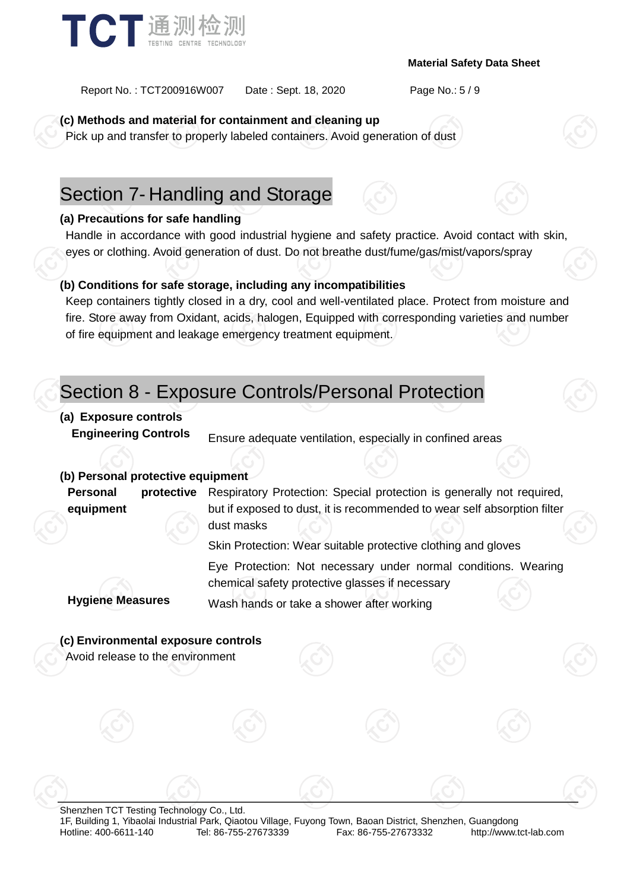

Report No. : TCT200916W007 Date : Sept. 18, 2020 Page No.: 5 / 9

**(c) Methods and material for containment and cleaning up**

Pick up and transfer to properly labeled containers. Avoid generation of dust

### Section 7- Handling and Storage

### **(a) Precautions for safe handling**

Handle in accordance with good industrial hygiene and safety practice. Avoid contact with skin, eyes or clothing. Avoid generation of dust. Do not breathe dust/fume/gas/mist/vapors/spray

### **(b) Conditions for safe storage, including any incompatibilities**

Keep containers tightly closed in a dry, cool and well-ventilated place. Protect from moisture and fire. Store away from Oxidant, acids, halogen, Equipped with corresponding varieties and number of fire equipment and leakage emergency treatment equipment.

### Section 8 - Exposure Controls/Personal Protection

### **(a) Exposure controls**

**Engineering Controls** Ensure adequate ventilation, especially in confined areas

### **(b) Personal protective equipment**

**Personal protective equipment** Respiratory Protection: Special protection is generally not required, but if exposed to dust, it is recommended to wear self absorption filter dust masks

Skin Protection: Wear suitable protective clothing and gloves

Eye Protection: Not necessary under normal conditions. Wearing chemical safety protective glasses if necessary **Hygiene Measures** Wash hands or take a shower after working

### **(c) Environmental exposure controls**

Avoid release to the environment

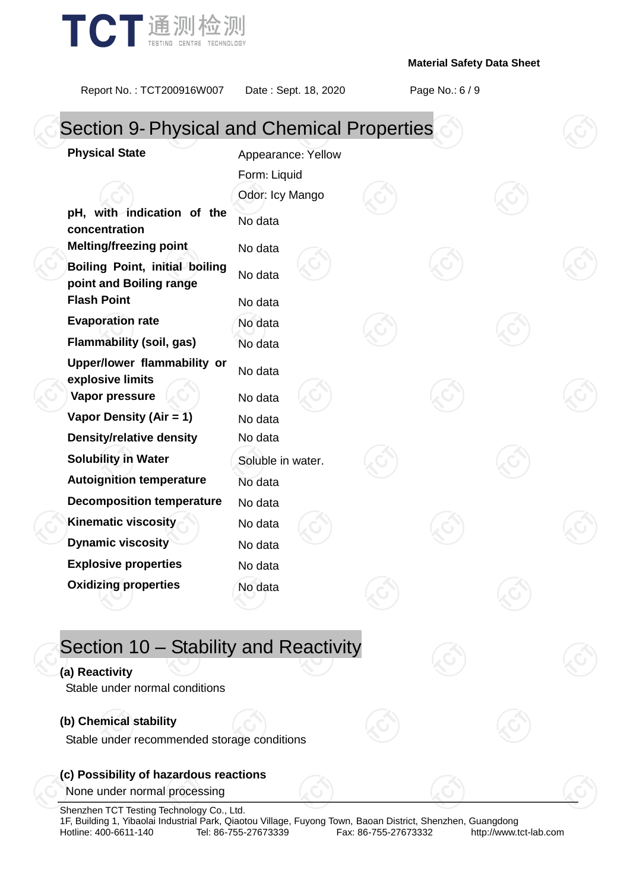

Report No. : TCT200916W007 Date : Sept. 18, 2020 Page No.: 6 / 9

| <b>Section 9- Physical and Chemical Properties</b>        |                    |  |  |  |  |
|-----------------------------------------------------------|--------------------|--|--|--|--|
| <b>Physical State</b>                                     | Appearance: Yellow |  |  |  |  |
|                                                           | Form: Liquid       |  |  |  |  |
|                                                           | Odor: Icy Mango    |  |  |  |  |
| pH, with indication of the<br>concentration               | No data            |  |  |  |  |
| <b>Melting/freezing point</b>                             | No data            |  |  |  |  |
| Boiling Point, initial boiling<br>point and Boiling range | No data            |  |  |  |  |
| <b>Flash Point</b>                                        | No data            |  |  |  |  |
| <b>Evaporation rate</b>                                   | No data            |  |  |  |  |
| <b>Flammability (soil, gas)</b>                           | No data            |  |  |  |  |
| Upper/lower flammability or<br>explosive limits           | No data            |  |  |  |  |
| Vapor pressure                                            | No data            |  |  |  |  |
| Vapor Density (Air = 1)                                   | No data            |  |  |  |  |
| <b>Density/relative density</b>                           | No data            |  |  |  |  |
| <b>Solubility in Water</b>                                | Soluble in water.  |  |  |  |  |
| <b>Autoignition temperature</b>                           | No data            |  |  |  |  |
| <b>Decomposition temperature</b>                          | No data            |  |  |  |  |
| <b>Kinematic viscosity</b>                                | No data            |  |  |  |  |
| <b>Dynamic viscosity</b>                                  | No data            |  |  |  |  |
| <b>Explosive properties</b>                               | No data            |  |  |  |  |
| <b>Oxidizing properties</b>                               | No data            |  |  |  |  |

# Section 10 – Stability and Reactivity

### **(a) Reactivity**

Stable under normal conditions

### **(b) Chemical stability**

Stable under recommended storage conditions

### **(c) Possibility of hazardous reactions**

None under normal processing

Shenzhen TCT Testing Technology Co., Ltd. 1F, Building 1, Yibaolai Industrial Park, Qiaotou Village, Fuyong Town, Baoan District, Shenzhen, Guangdong<br>Hotline: 400-6611-140 Tel: 86-755-27673339 Fax: 86-755-27673332 http://www.tct-lab.com

Fax: 86-755-27673332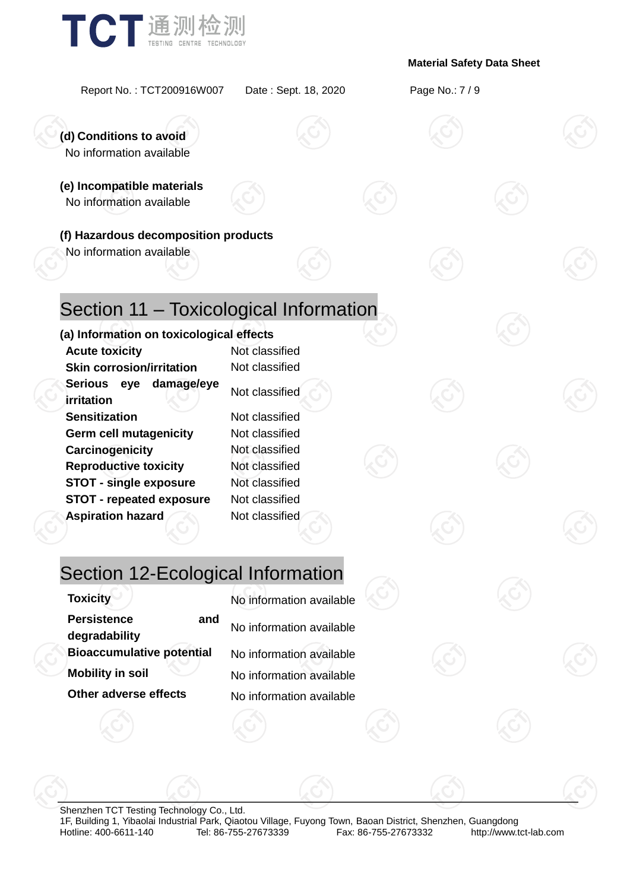

Report No. : TCT200916W007 Date : Sept. 18, 2020 Page No.: 7 / 9

**(d) Conditions to avoid** No information available

**(e) Incompatible materials** No information available

**(f) Hazardous decomposition products**

No information available

# Section 11 – Toxicological Information

### **(a) Information on toxicological effects**

**Acute toxicity** Not classified **Skin corrosion/irritation** Not classified **Serious eye damage/eye irritation Sensitization** Not classified **Germ cell mutagenicity** Not classified **Carcinogenicity** Not classified **Reproductive toxicity** Not classified **STOT - single exposure** Not classified **STOT - repeated exposure** Not classified **Aspiration hazard Not classified** 

### Section 12-Ecological Information

| Toxicity                                   | No information available |
|--------------------------------------------|--------------------------|
| <b>Persistence</b><br>and<br>degradability | No information available |
| <b>Bioaccumulative potential</b>           | No information available |
| <b>Mobility in soil</b>                    | No information available |
| Other adverse effects                      | No information available |

| <b>Toxicity</b>                            | No information available |
|--------------------------------------------|--------------------------|
| <b>Persistence</b><br>and<br>degradability | No information available |
| <b>Bioaccumulative potential</b>           | No information available |
| <b>Mobility in soil</b>                    | No information available |
| Other adverse effects                      | No information available |

Shenzhen TCT Testing Technology Co., Ltd. 1F, Building 1, Yibaolai Industrial Park, Qiaotou Village, Fuyong Town, Baoan District, Shenzhen, Guangdong Fax: 86-755-27673332 http://www.tct-lab.com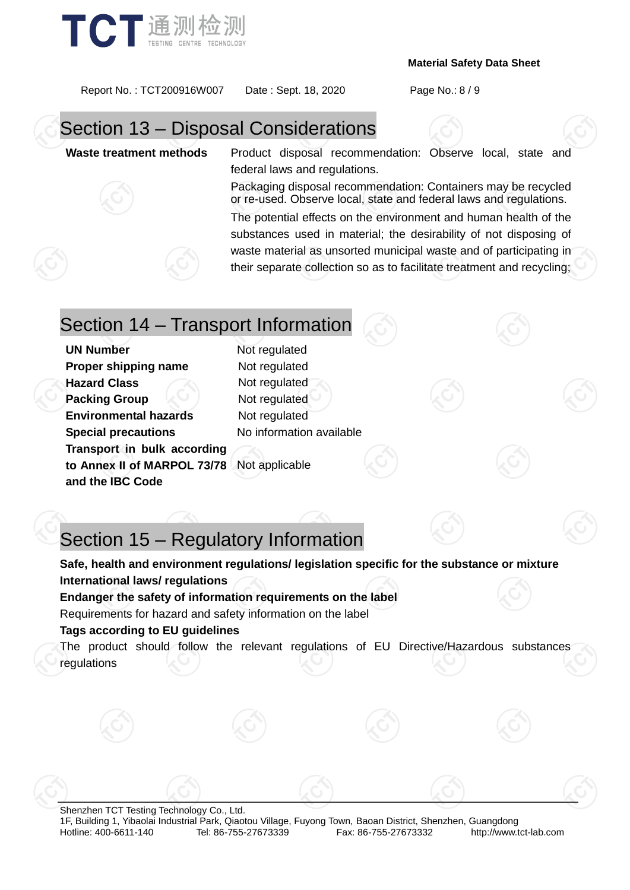



Report No. : TCT200916W007 Date : Sept. 18, 2020 Page No.: 8 / 9

# Section 13 – Disposal Considerations

**Waste treatment methods** Product disposal recommendation: Observe local, state and federal laws and regulations.

> Packaging disposal recommendation: Containers may be recycled or re-used. Observe local, state and federal laws and regulations.

> The potential effects on the environment and human health of the substances used in material; the desirability of not disposing of waste material as unsorted municipal waste and of participating in their separate collection so as to facilitate treatment and recycling;

### Section 14 – Transport Information

**UN Number** Not regulated **Proper shipping name** Not regulated **Hazard Class** Not regulated **Packing Group**  $\leq$  Not regulated **Environmental hazards** Not regulated **Special precautions** No information available **Transport in bulk according to Annex II of MARPOL 73/78**  Not applicable **and the IBC Code**

# Section 15 – Regulatory Information

**Safe, health and environment regulations/ legislation specific for the substance or mixture International laws/ regulations Endanger the safety of information requirements on the label**

Requirements for hazard and safety information on the label

### **Tags according to EU guidelines**

The product should follow the relevant regulations of EU Directive/Hazardous substances regulations